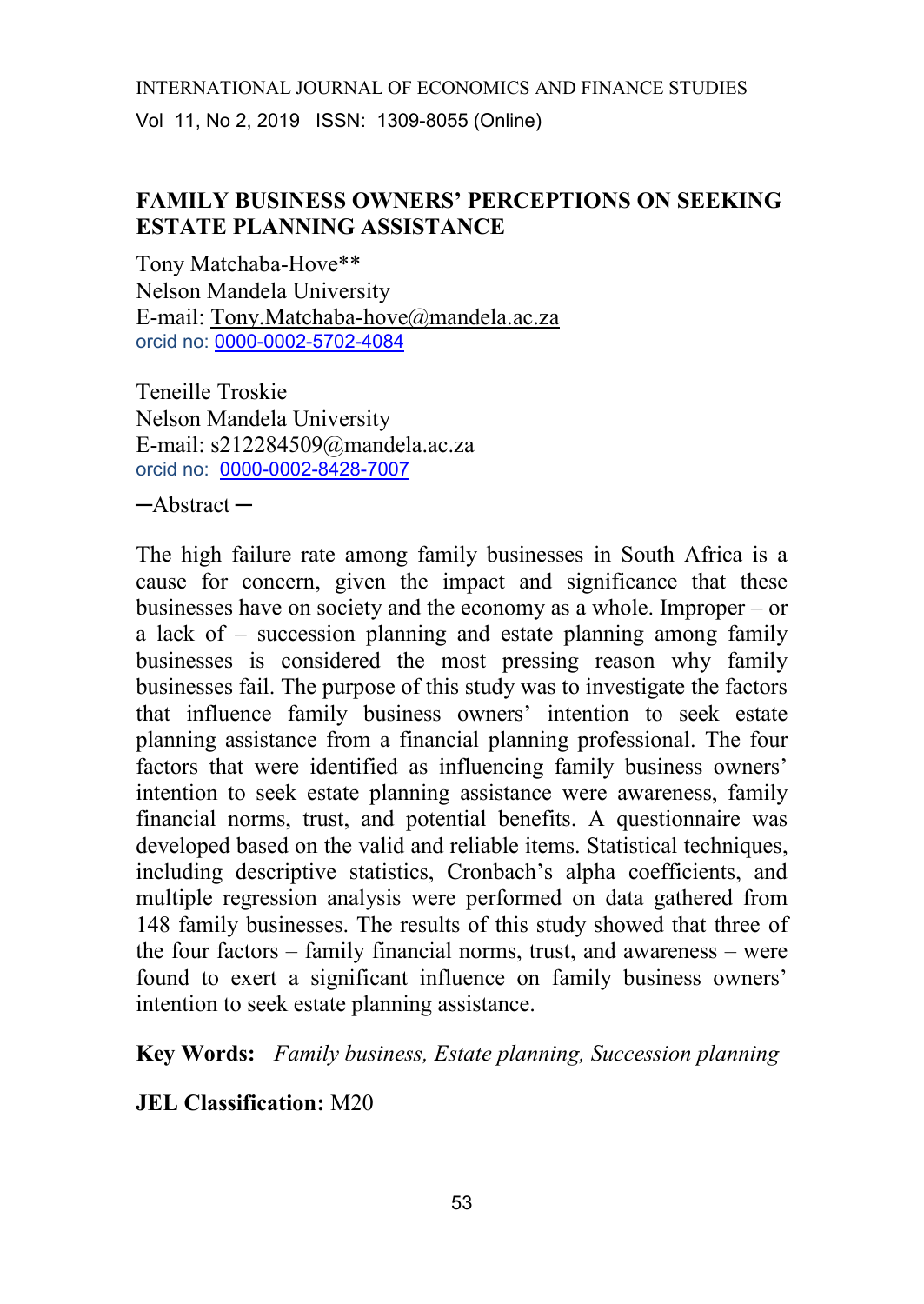# **FAMILY BUSINESS OWNERS' PERCEPTIONS ON SEEKING ESTATE PLANNING ASSISTANCE**

Tony Matchaba-Hove\*\* Nelson Mandela University E-mail: [Tony.Matchaba-hove@mandela.ac.za](mailto:Tony.Matchaba-hove@mandela.ac.za) orcid no: [0000-0002-5702-4084](https://orcid.org/0000-0002-5702-4084)

Teneille Troskie Nelson Mandela University E-mail: [s212284509@mandela.ac.za](mailto:s212284509@mandela.ac.za) orcid no: [0000-0002-8428-7007](https://orcid.org/0000-0002-8428-7007)

─Abstract ─

The high failure rate among family businesses in South Africa is a cause for concern, given the impact and significance that these businesses have on society and the economy as a whole. Improper – or a lack of – succession planning and estate planning among family businesses is considered the most pressing reason why family businesses fail. The purpose of this study was to investigate the factors that influence family business owners' intention to seek estate planning assistance from a financial planning professional. The four factors that were identified as influencing family business owners' intention to seek estate planning assistance were awareness, family financial norms, trust, and potential benefits. A questionnaire was developed based on the valid and reliable items. Statistical techniques, including descriptive statistics, Cronbach's alpha coefficients, and multiple regression analysis were performed on data gathered from 148 family businesses. The results of this study showed that three of the four factors – family financial norms, trust, and awareness – were found to exert a significant influence on family business owners' intention to seek estate planning assistance.

**Key Words:** *Family business, Estate planning, Succession planning*

**JEL Classification:** M20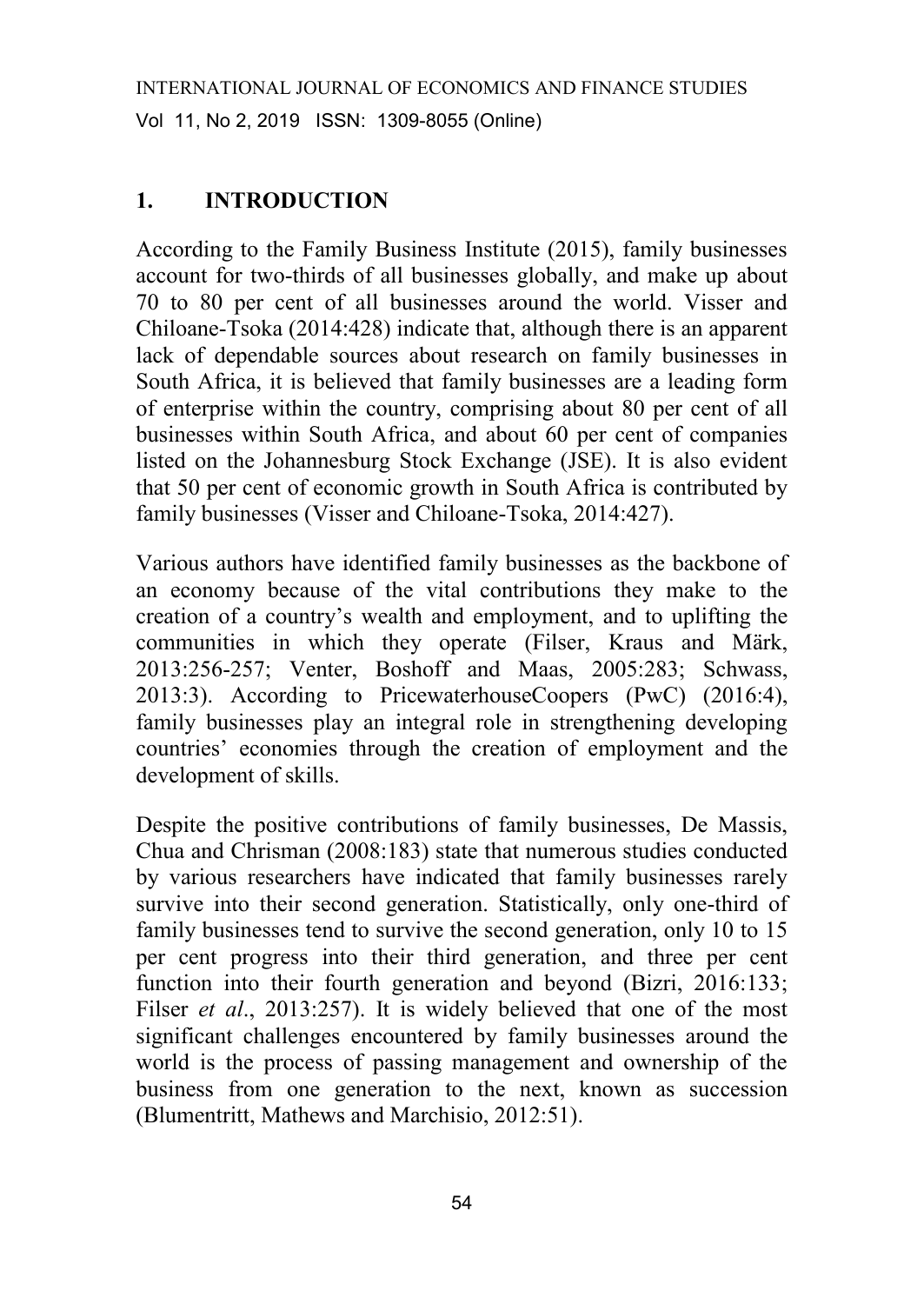# **1. INTRODUCTION**

According to the Family Business Institute (2015), family businesses account for two-thirds of all businesses globally, and make up about 70 to 80 per cent of all businesses around the world. Visser and Chiloane-Tsoka (2014:428) indicate that, although there is an apparent lack of dependable sources about research on family businesses in South Africa, it is believed that family businesses are a leading form of enterprise within the country, comprising about 80 per cent of all businesses within South Africa, and about 60 per cent of companies listed on the Johannesburg Stock Exchange (JSE). It is also evident that 50 per cent of economic growth in South Africa is contributed by family businesses (Visser and Chiloane-Tsoka, 2014:427).

Various authors have identified family businesses as the backbone of an economy because of the vital contributions they make to the creation of a country's wealth and employment, and to uplifting the communities in which they operate (Filser, Kraus and Märk, 2013:256-257; Venter, Boshoff and Maas, 2005:283; Schwass, 2013:3). According to PricewaterhouseCoopers (PwC) (2016:4), family businesses play an integral role in strengthening developing countries' economies through the creation of employment and the development of skills.

Despite the positive contributions of family businesses, De Massis, Chua and Chrisman (2008:183) state that numerous studies conducted by various researchers have indicated that family businesses rarely survive into their second generation. Statistically, only one-third of family businesses tend to survive the second generation, only 10 to 15 per cent progress into their third generation, and three per cent function into their fourth generation and beyond (Bizri, 2016:133; Filser *et al.*, 2013:257). It is widely believed that one of the most significant challenges encountered by family businesses around the world is the process of passing management and ownership of the business from one generation to the next, known as succession (Blumentritt, Mathews and Marchisio, 2012:51).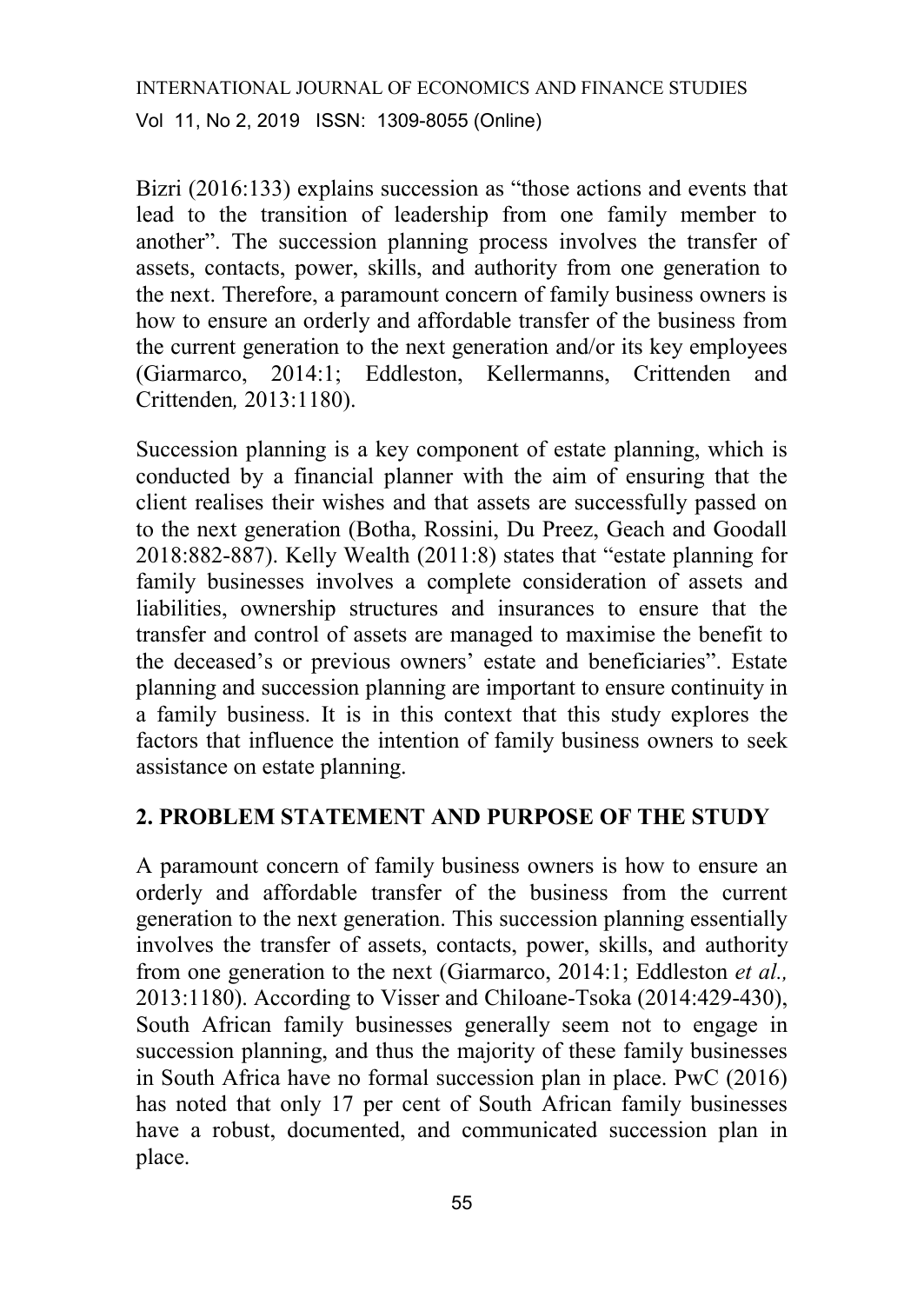Bizri (2016:133) explains succession as "those actions and events that lead to the transition of leadership from one family member to another". The succession planning process involves the transfer of assets, contacts, power, skills, and authority from one generation to the next. Therefore, a paramount concern of family business owners is how to ensure an orderly and affordable transfer of the business from the current generation to the next generation and/or its key employees (Giarmarco, 2014:1; Eddleston, Kellermanns, Crittenden and Crittenden*,* 2013:1180).

Succession planning is a key component of estate planning, which is conducted by a financial planner with the aim of ensuring that the client realises their wishes and that assets are successfully passed on to the next generation (Botha, Rossini, Du Preez, Geach and Goodall 2018:882-887). Kelly Wealth (2011:8) states that "estate planning for family businesses involves a complete consideration of assets and liabilities, ownership structures and insurances to ensure that the transfer and control of assets are managed to maximise the benefit to the deceased's or previous owners' estate and beneficiaries". Estate planning and succession planning are important to ensure continuity in a family business. It is in this context that this study explores the factors that influence the intention of family business owners to seek assistance on estate planning.

## **2. PROBLEM STATEMENT AND PURPOSE OF THE STUDY**

A paramount concern of family business owners is how to ensure an orderly and affordable transfer of the business from the current generation to the next generation. This succession planning essentially involves the transfer of assets, contacts, power, skills, and authority from one generation to the next (Giarmarco, 2014:1; Eddleston *et al.,* 2013:1180). According to Visser and Chiloane-Tsoka (2014:429-430), South African family businesses generally seem not to engage in succession planning, and thus the majority of these family businesses in South Africa have no formal succession plan in place. PwC (2016) has noted that only 17 per cent of South African family businesses have a robust, documented, and communicated succession plan in place.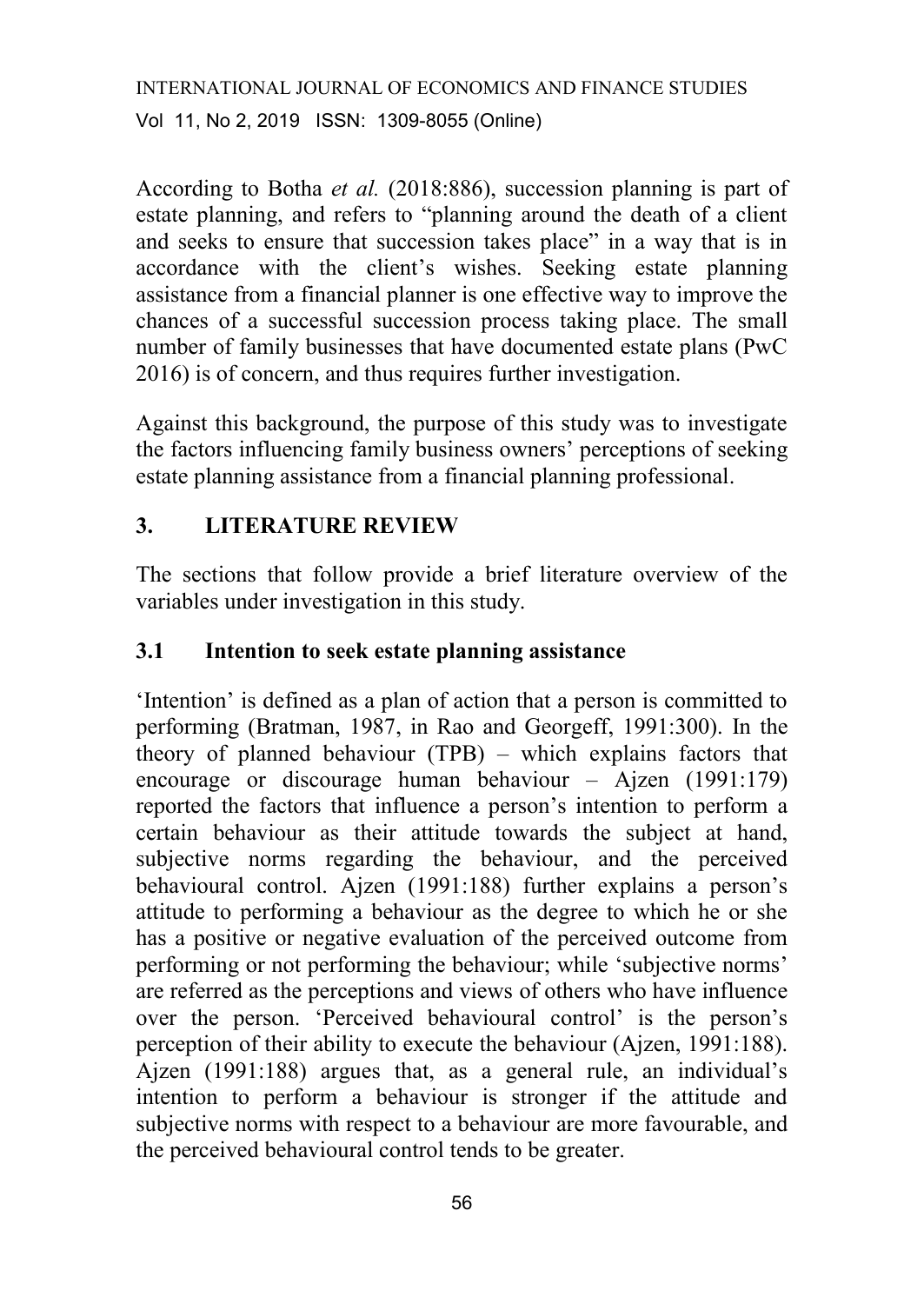According to Botha *et al.* (2018:886), succession planning is part of estate planning, and refers to "planning around the death of a client and seeks to ensure that succession takes place" in a way that is in accordance with the client's wishes. Seeking estate planning assistance from a financial planner is one effective way to improve the chances of a successful succession process taking place. The small number of family businesses that have documented estate plans (PwC 2016) is of concern, and thus requires further investigation.

Against this background, the purpose of this study was to investigate the factors influencing family business owners' perceptions of seeking estate planning assistance from a financial planning professional.

# **3. LITERATURE REVIEW**

The sections that follow provide a brief literature overview of the variables under investigation in this study.

#### **3.1 Intention to seek estate planning assistance**

'Intention' is defined as a plan of action that a person is committed to performing (Bratman, 1987, in Rao and Georgeff, 1991:300). In the theory of planned behaviour (TPB) – which explains factors that encourage or discourage human behaviour – Ajzen (1991:179) reported the factors that influence a person's intention to perform a certain behaviour as their attitude towards the subject at hand, subjective norms regarding the behaviour, and the perceived behavioural control. Ajzen (1991:188) further explains a person's attitude to performing a behaviour as the degree to which he or she has a positive or negative evaluation of the perceived outcome from performing or not performing the behaviour; while 'subjective norms' are referred as the perceptions and views of others who have influence over the person. 'Perceived behavioural control' is the person's perception of their ability to execute the behaviour (Ajzen, 1991:188). Ajzen (1991:188) argues that, as a general rule, an individual's intention to perform a behaviour is stronger if the attitude and subjective norms with respect to a behaviour are more favourable, and the perceived behavioural control tends to be greater.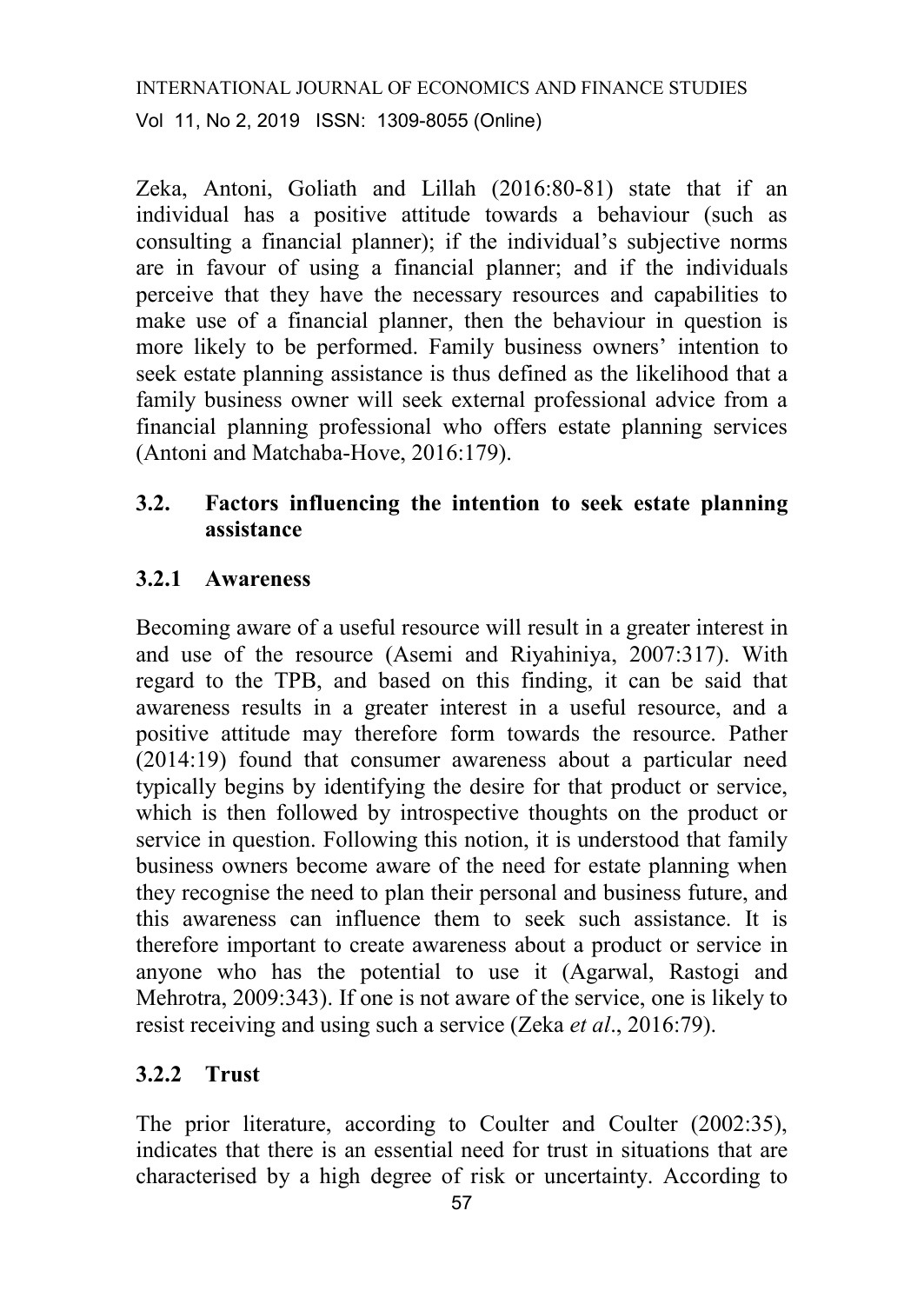Zeka, Antoni, Goliath and Lillah (2016:80-81) state that if an individual has a positive attitude towards a behaviour (such as consulting a financial planner); if the individual's subjective norms are in favour of using a financial planner; and if the individuals perceive that they have the necessary resources and capabilities to make use of a financial planner, then the behaviour in question is more likely to be performed. Family business owners' intention to seek estate planning assistance is thus defined as the likelihood that a family business owner will seek external professional advice from a financial planning professional who offers estate planning services (Antoni and Matchaba-Hove, 2016:179).

# **3.2. Factors influencing the intention to seek estate planning assistance**

#### **3.2.1 Awareness**

Becoming aware of a useful resource will result in a greater interest in and use of the resource (Asemi and Riyahiniya, 2007:317). With regard to the TPB, and based on this finding, it can be said that awareness results in a greater interest in a useful resource, and a positive attitude may therefore form towards the resource. Pather (2014:19) found that consumer awareness about a particular need typically begins by identifying the desire for that product or service, which is then followed by introspective thoughts on the product or service in question. Following this notion, it is understood that family business owners become aware of the need for estate planning when they recognise the need to plan their personal and business future, and this awareness can influence them to seek such assistance. It is therefore important to create awareness about a product or service in anyone who has the potential to use it (Agarwal, Rastogi and Mehrotra, 2009:343). If one is not aware of the service, one is likely to resist receiving and using such a service (Zeka *et al*., 2016:79).

#### **3.2.2 Trust**

The prior literature, according to Coulter and Coulter (2002:35), indicates that there is an essential need for trust in situations that are characterised by a high degree of risk or uncertainty. According to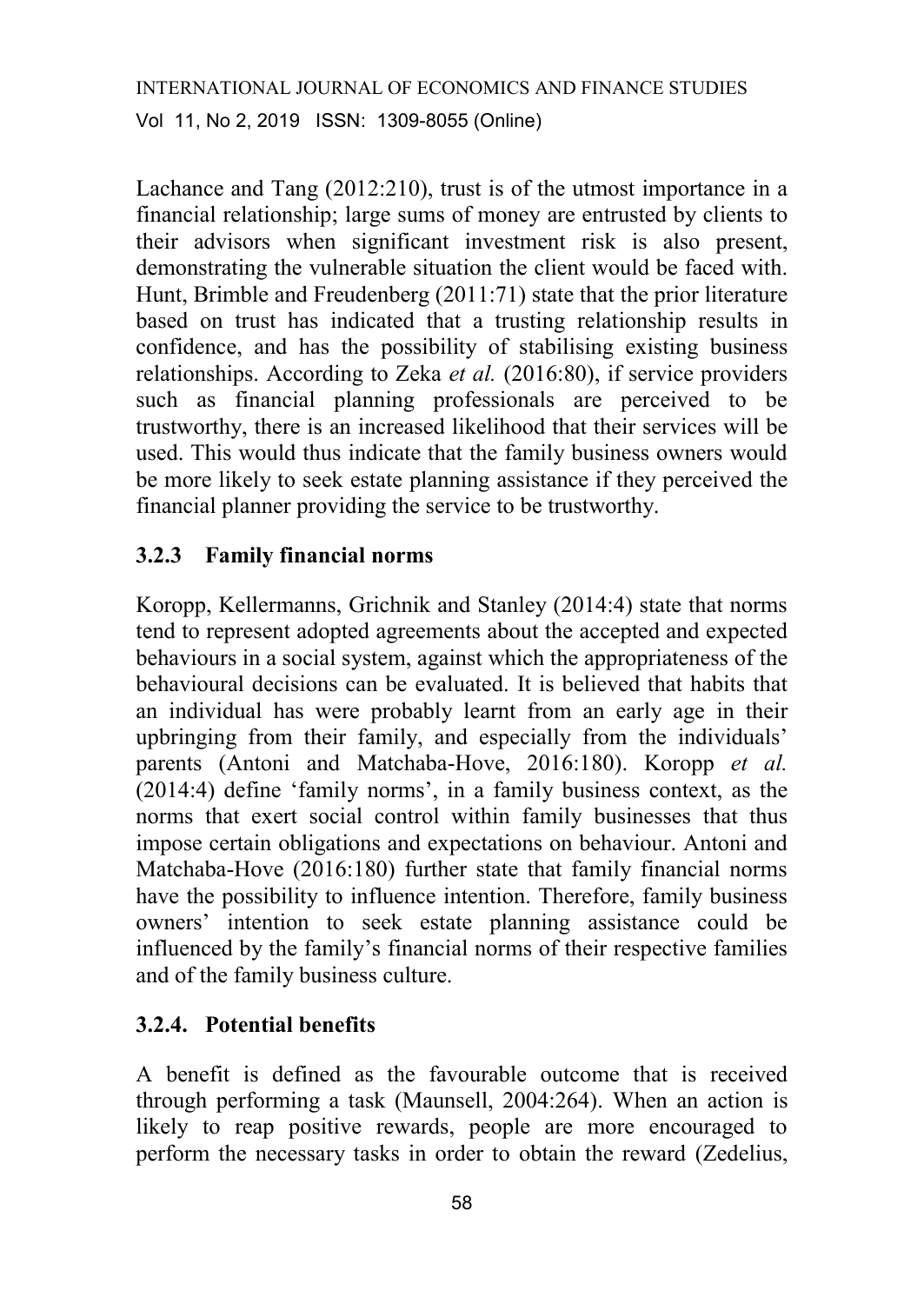Lachance and Tang (2012:210), trust is of the utmost importance in a financial relationship; large sums of money are entrusted by clients to their advisors when significant investment risk is also present, demonstrating the vulnerable situation the client would be faced with. Hunt, Brimble and Freudenberg (2011:71) state that the prior literature based on trust has indicated that a trusting relationship results in confidence, and has the possibility of stabilising existing business relationships. According to Zeka *et al.* (2016:80), if service providers such as financial planning professionals are perceived to be trustworthy, there is an increased likelihood that their services will be used. This would thus indicate that the family business owners would be more likely to seek estate planning assistance if they perceived the financial planner providing the service to be trustworthy.

## **3.2.3 Family financial norms**

Koropp, Kellermanns, Grichnik and Stanley (2014:4) state that norms tend to represent adopted agreements about the accepted and expected behaviours in a social system, against which the appropriateness of the behavioural decisions can be evaluated. It is believed that habits that an individual has were probably learnt from an early age in their upbringing from their family, and especially from the individuals' parents (Antoni and Matchaba-Hove, 2016:180). Koropp *et al.* (2014:4) define 'family norms', in a family business context, as the norms that exert social control within family businesses that thus impose certain obligations and expectations on behaviour. Antoni and Matchaba-Hove (2016:180) further state that family financial norms have the possibility to influence intention. Therefore, family business owners' intention to seek estate planning assistance could be influenced by the family's financial norms of their respective families and of the family business culture.

## **3.2.4. Potential benefits**

A benefit is defined as the favourable outcome that is received through performing a task (Maunsell, 2004:264). When an action is likely to reap positive rewards, people are more encouraged to perform the necessary tasks in order to obtain the reward (Zedelius,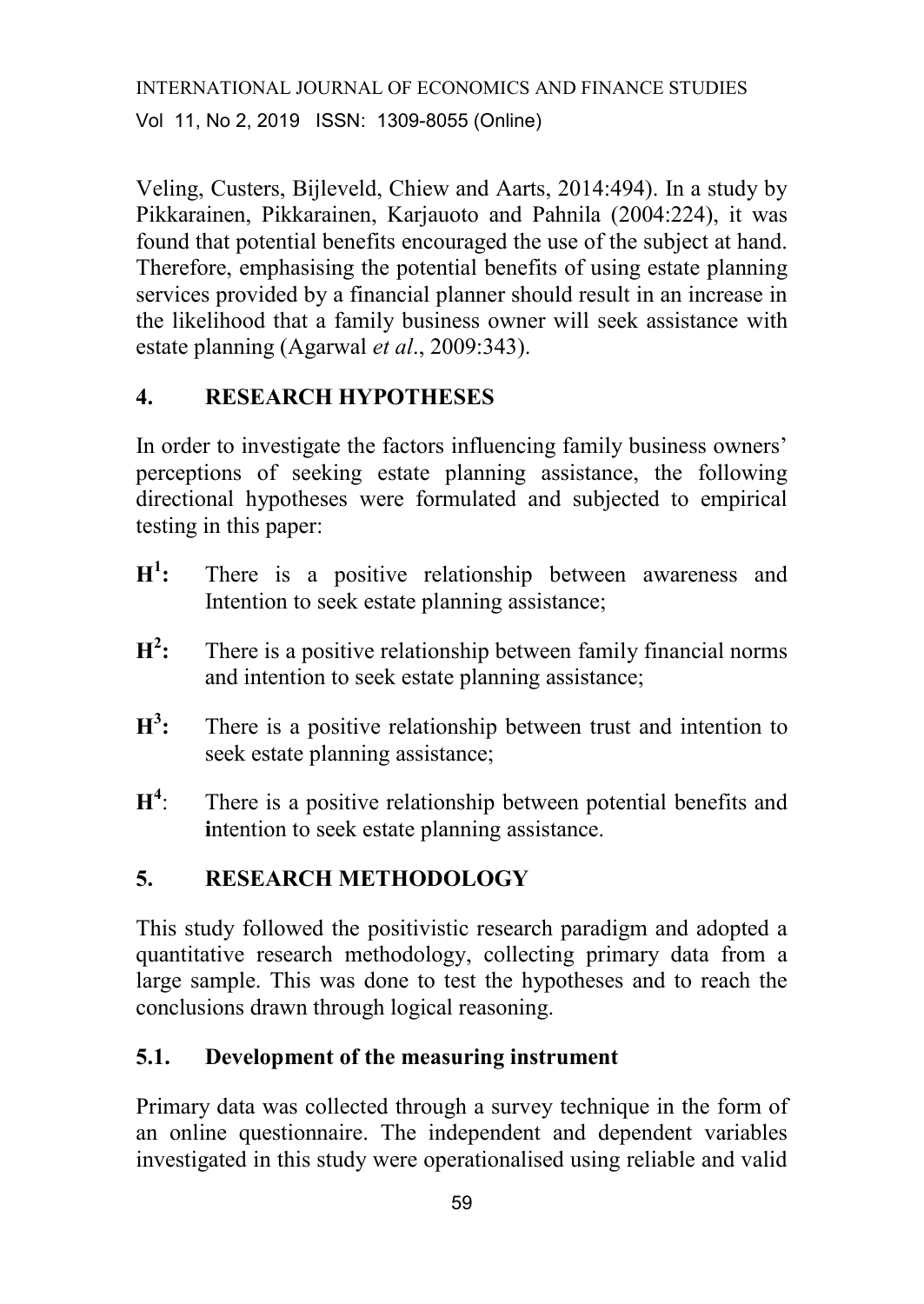Veling, Custers, Bijleveld, Chiew and Aarts, 2014:494). In a study by Pikkarainen, Pikkarainen, Karjauoto and Pahnila (2004:224), it was found that potential benefits encouraged the use of the subject at hand. Therefore, emphasising the potential benefits of using estate planning services provided by a financial planner should result in an increase in the likelihood that a family business owner will seek assistance with estate planning (Agarwal *et al*., 2009:343).

# **4. RESEARCH HYPOTHESES**

In order to investigate the factors influencing family business owners' perceptions of seeking estate planning assistance, the following directional hypotheses were formulated and subjected to empirical testing in this paper:

- $H^1$ There is a positive relationship between awareness and Intention to seek estate planning assistance;
- **H 2 :** There is a positive relationship between family financial norms and intention to seek estate planning assistance;
- **H 3 :** There is a positive relationship between trust and intention to seek estate planning assistance;
- $H^4$ There is a positive relationship between potential benefits and **i**ntention to seek estate planning assistance.

# **5. RESEARCH METHODOLOGY**

This study followed the positivistic research paradigm and adopted a quantitative research methodology, collecting primary data from a large sample. This was done to test the hypotheses and to reach the conclusions drawn through logical reasoning.

## **5.1. Development of the measuring instrument**

Primary data was collected through a survey technique in the form of an online questionnaire. The independent and dependent variables investigated in this study were operationalised using reliable and valid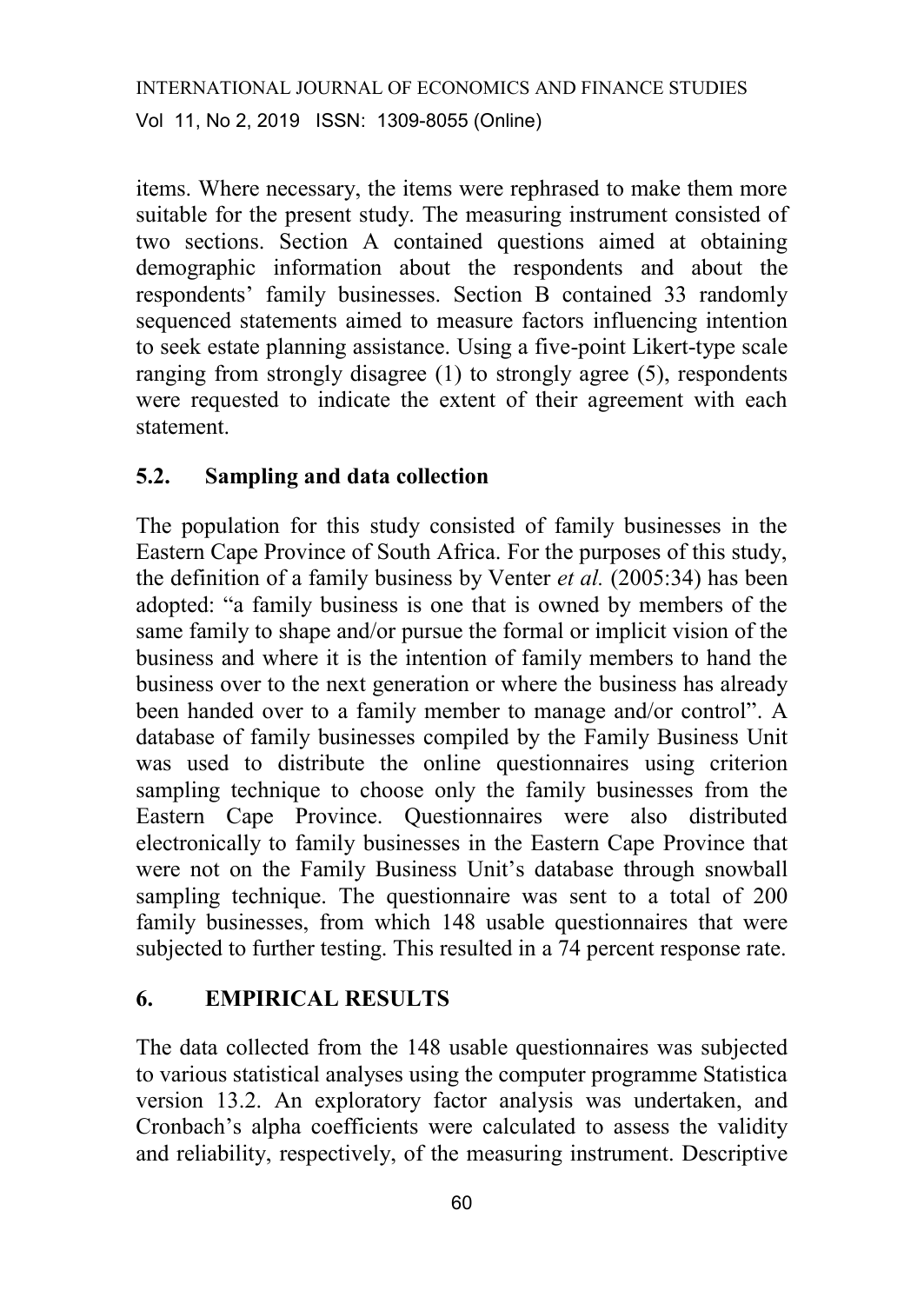items. Where necessary, the items were rephrased to make them more suitable for the present study. The measuring instrument consisted of two sections. Section A contained questions aimed at obtaining demographic information about the respondents and about the respondents' family businesses. Section B contained 33 randomly sequenced statements aimed to measure factors influencing intention to seek estate planning assistance. Using a five-point Likert-type scale ranging from strongly disagree (1) to strongly agree (5), respondents were requested to indicate the extent of their agreement with each statement.

## **5.2. Sampling and data collection**

The population for this study consisted of family businesses in the Eastern Cape Province of South Africa. For the purposes of this study, the definition of a family business by Venter *et al.* (2005:34) has been adopted: "a family business is one that is owned by members of the same family to shape and/or pursue the formal or implicit vision of the business and where it is the intention of family members to hand the business over to the next generation or where the business has already been handed over to a family member to manage and/or control". A database of family businesses compiled by the Family Business Unit was used to distribute the online questionnaires using criterion sampling technique to choose only the family businesses from the Eastern Cape Province. Questionnaires were also distributed electronically to family businesses in the Eastern Cape Province that were not on the Family Business Unit's database through snowball sampling technique. The questionnaire was sent to a total of 200 family businesses, from which 148 usable questionnaires that were subjected to further testing. This resulted in a 74 percent response rate.

## **6. EMPIRICAL RESULTS**

The data collected from the 148 usable questionnaires was subjected to various statistical analyses using the computer programme Statistica version 13.2. An exploratory factor analysis was undertaken, and Cronbach's alpha coefficients were calculated to assess the validity and reliability, respectively, of the measuring instrument. Descriptive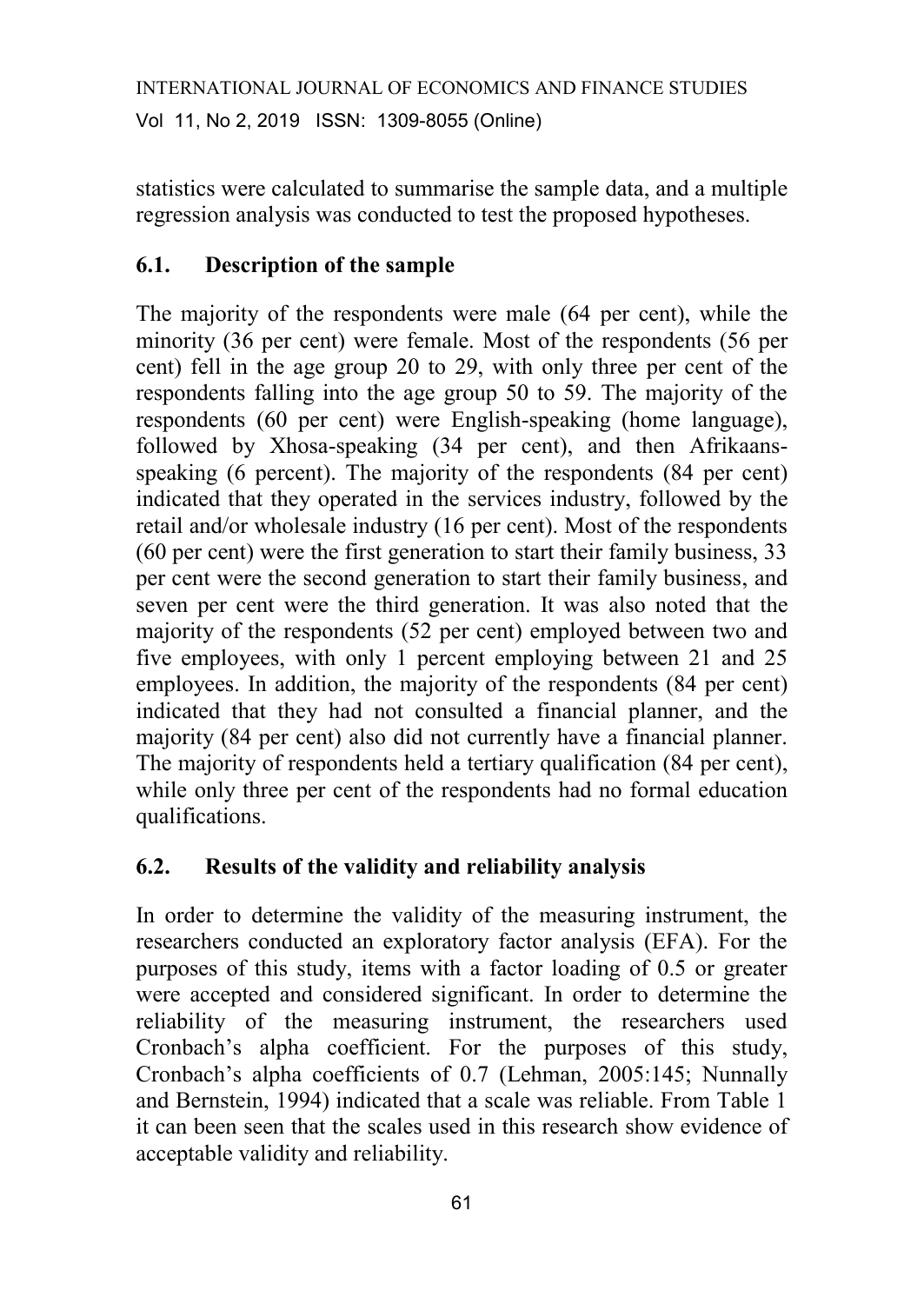statistics were calculated to summarise the sample data, and a multiple regression analysis was conducted to test the proposed hypotheses.

# **6.1. Description of the sample**

The majority of the respondents were male (64 per cent), while the minority (36 per cent) were female. Most of the respondents (56 per cent) fell in the age group 20 to 29, with only three per cent of the respondents falling into the age group 50 to 59. The majority of the respondents (60 per cent) were English-speaking (home language), followed by Xhosa-speaking (34 per cent), and then Afrikaansspeaking (6 percent). The majority of the respondents (84 per cent) indicated that they operated in the services industry, followed by the retail and/or wholesale industry (16 per cent). Most of the respondents (60 per cent) were the first generation to start their family business, 33 per cent were the second generation to start their family business, and seven per cent were the third generation. It was also noted that the majority of the respondents (52 per cent) employed between two and five employees, with only 1 percent employing between 21 and 25 employees. In addition, the majority of the respondents (84 per cent) indicated that they had not consulted a financial planner, and the majority (84 per cent) also did not currently have a financial planner. The majority of respondents held a tertiary qualification (84 per cent), while only three per cent of the respondents had no formal education qualifications.

# **6.2. Results of the validity and reliability analysis**

In order to determine the validity of the measuring instrument, the researchers conducted an exploratory factor analysis (EFA). For the purposes of this study, items with a factor loading of 0.5 or greater were accepted and considered significant. In order to determine the reliability of the measuring instrument, the researchers used Cronbach's alpha coefficient. For the purposes of this study, Cronbach's alpha coefficients of 0.7 (Lehman, 2005:145; Nunnally and Bernstein, 1994) indicated that a scale was reliable. From Table 1 it can been seen that the scales used in this research show evidence of acceptable validity and reliability.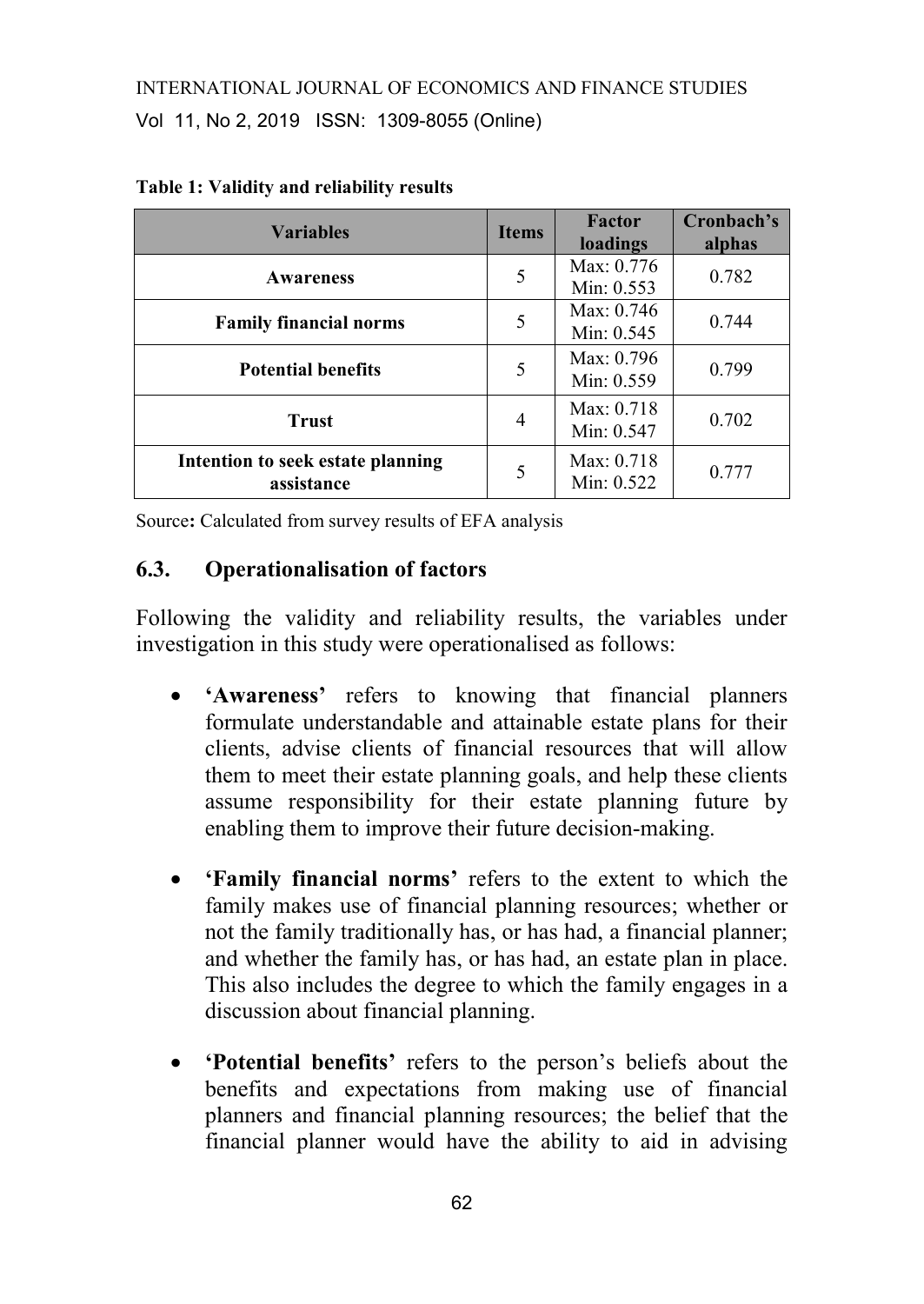| <b>Variables</b>                                | <b>Items</b> | Factor<br>loadings         | Cronbach's<br>alphas |
|-------------------------------------------------|--------------|----------------------------|----------------------|
| <b>Awareness</b>                                | 5            | Max: 0.776<br>Min: 0.553   | 0.782                |
| <b>Family financial norms</b>                   | 5            | Max: 0.746<br>Min: $0.545$ | 0.744                |
| <b>Potential benefits</b>                       | 5            | Max: 0.796<br>Min: 0.559   | 0.799                |
| <b>Trust</b>                                    | 4            | Max: 0.718<br>Min: 0.547   | 0.702                |
| Intention to seek estate planning<br>assistance | 5            | Max: 0.718<br>Min: 0.522   | 0.777                |

|  | Table 1: Validity and reliability results |  |
|--|-------------------------------------------|--|
|  |                                           |  |

Source**:** Calculated from survey results of EFA analysis

#### **6.3. Operationalisation of factors**

Following the validity and reliability results, the variables under investigation in this study were operationalised as follows:

- **'Awareness'** refers to knowing that financial planners formulate understandable and attainable estate plans for their clients, advise clients of financial resources that will allow them to meet their estate planning goals, and help these clients assume responsibility for their estate planning future by enabling them to improve their future decision-making.
- **'Family financial norms'** refers to the extent to which the family makes use of financial planning resources; whether or not the family traditionally has, or has had, a financial planner; and whether the family has, or has had, an estate plan in place. This also includes the degree to which the family engages in a discussion about financial planning.
- **'Potential benefits'** refers to the person's beliefs about the benefits and expectations from making use of financial planners and financial planning resources; the belief that the financial planner would have the ability to aid in advising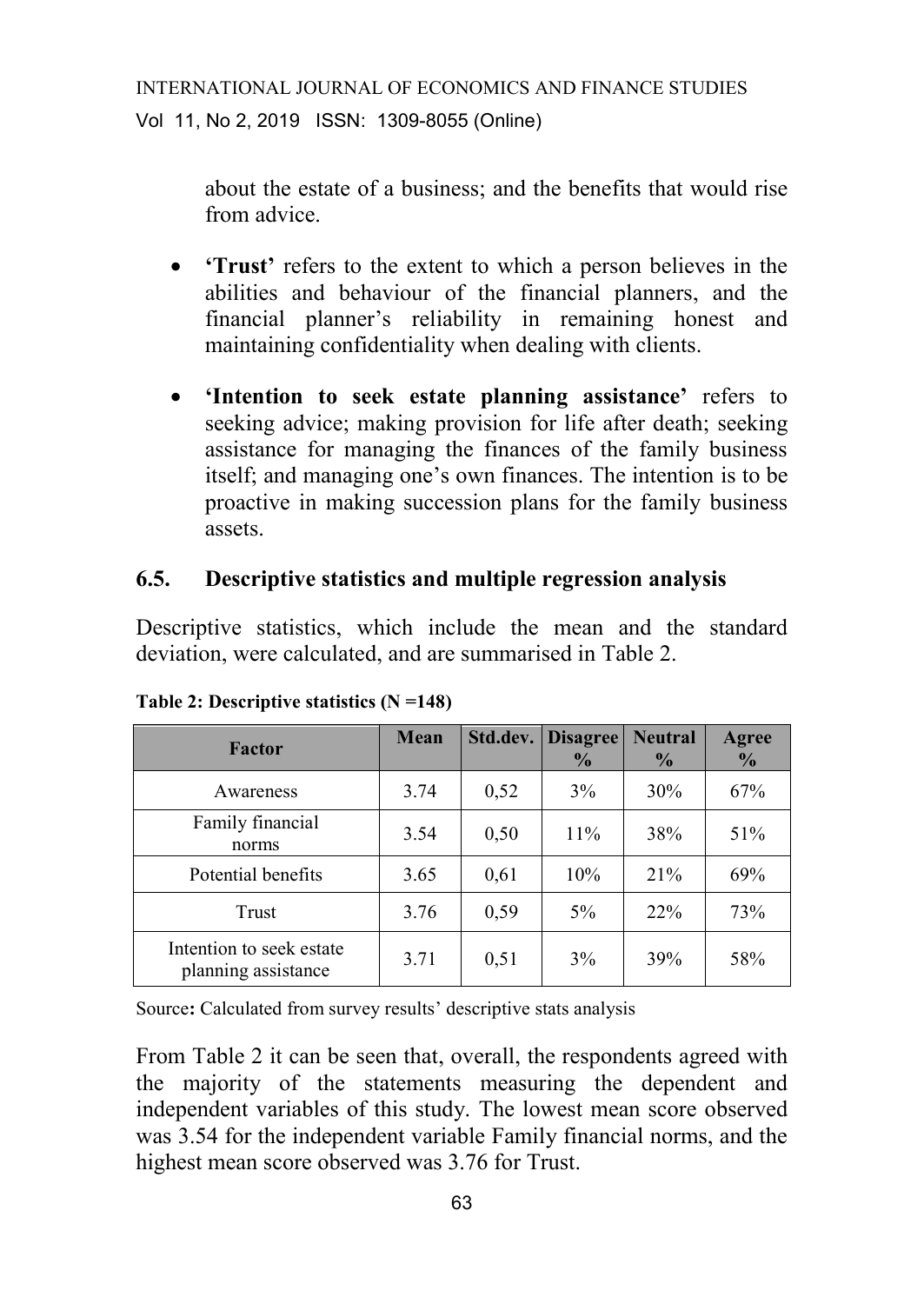about the estate of a business; and the benefits that would rise from advice.

- **'Trust'** refers to the extent to which a person believes in the abilities and behaviour of the financial planners, and the financial planner's reliability in remaining honest and maintaining confidentiality when dealing with clients.
- **'Intention to seek estate planning assistance'** refers to seeking advice; making provision for life after death; seeking assistance for managing the finances of the family business itself; and managing one's own finances. The intention is to be proactive in making succession plans for the family business assets.

## **6.5. Descriptive statistics and multiple regression analysis**

Descriptive statistics, which include the mean and the standard deviation, were calculated, and are summarised in Table 2.

| Factor                                          | Mean | Std.dev. | <b>Disagree</b><br>$\frac{6}{9}$ | <b>Neutral</b><br>$\frac{6}{9}$ | Agree<br>$\frac{0}{0}$ |
|-------------------------------------------------|------|----------|----------------------------------|---------------------------------|------------------------|
| Awareness                                       | 3.74 | 0,52     | 3%                               | 30%                             | 67%                    |
| Family financial<br>norms                       | 3.54 | 0,50     | 11%                              | 38%                             | 51%                    |
| Potential benefits                              | 3.65 | 0.61     | 10%                              | 21%                             | 69%                    |
| Trust                                           | 3.76 | 0,59     | $5\%$                            | 22%                             | 73%                    |
| Intention to seek estate<br>planning assistance | 3.71 | 0.51     | 3%                               | 39%                             | 58%                    |

**Table 2: Descriptive statistics (N =148)**

Source**:** Calculated from survey results' descriptive stats analysis

From Table 2 it can be seen that, overall, the respondents agreed with the majority of the statements measuring the dependent and independent variables of this study. The lowest mean score observed was 3.54 for the independent variable Family financial norms, and the highest mean score observed was 3.76 for Trust.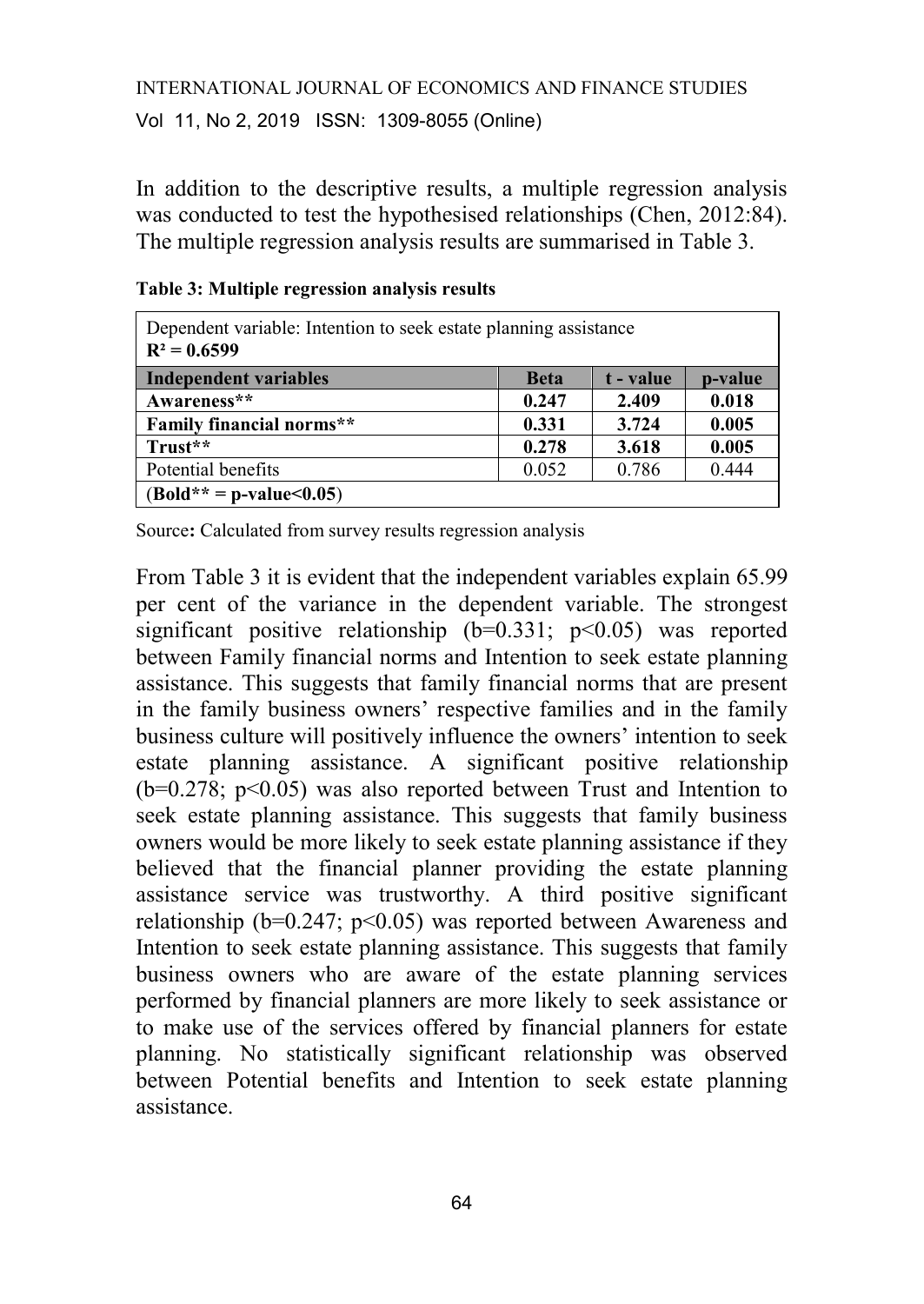In addition to the descriptive results, a multiple regression analysis was conducted to test the hypothesised relationships (Chen, 2012:84). The multiple regression analysis results are summarised in Table 3.

| Dependent variable: Intention to seek estate planning assistance<br>$R^2 = 0.6599$ |             |           |         |  |
|------------------------------------------------------------------------------------|-------------|-----------|---------|--|
| Independent variables                                                              | <b>Beta</b> | t - value | p-value |  |
| Awareness**                                                                        | 0.247       | 2.409     | 0.018   |  |
| <b>Family financial norms**</b>                                                    | 0.331       | 3.724     | 0.005   |  |
| Trust**                                                                            | 0.278       | 3.618     | 0.005   |  |
| Potential benefits                                                                 | 0.052       | 0.786     | 0.444   |  |
| $(Bold** = p-value<0.05)$                                                          |             |           |         |  |

#### **Table 3: Multiple regression analysis results**

Source**:** Calculated from survey results regression analysis

From Table 3 it is evident that the independent variables explain 65.99 per cent of the variance in the dependent variable. The strongest significant positive relationship  $(b=0.331; p<0.05)$  was reported between Family financial norms and Intention to seek estate planning assistance. This suggests that family financial norms that are present in the family business owners' respective families and in the family business culture will positively influence the owners' intention to seek estate planning assistance. A significant positive relationship  $(b=0.278; p<0.05)$  was also reported between Trust and Intention to seek estate planning assistance. This suggests that family business owners would be more likely to seek estate planning assistance if they believed that the financial planner providing the estate planning assistance service was trustworthy. A third positive significant relationship ( $b=0.247$ ;  $p<0.05$ ) was reported between Awareness and Intention to seek estate planning assistance. This suggests that family business owners who are aware of the estate planning services performed by financial planners are more likely to seek assistance or to make use of the services offered by financial planners for estate planning. No statistically significant relationship was observed between Potential benefits and Intention to seek estate planning assistance.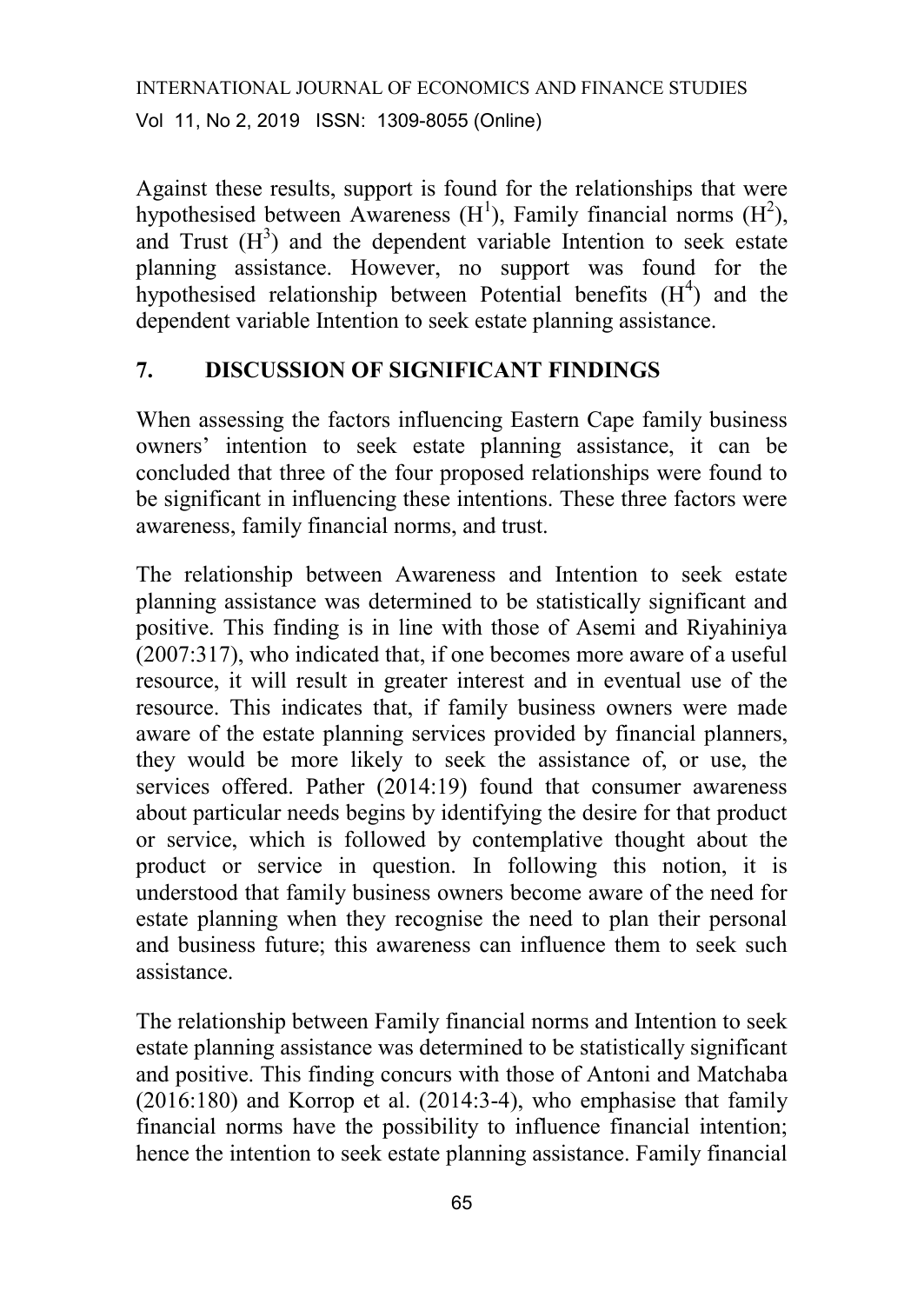Against these results, support is found for the relationships that were hypothesised between Awareness  $(H<sup>1</sup>)$ , Family financial norms  $(H<sup>2</sup>)$ , and Trust  $(H<sup>3</sup>)$  and the dependent variable Intention to seek estate planning assistance. However, no support was found for the hypothesised relationship between Potential benefits  $(H<sup>4</sup>)$  and the dependent variable Intention to seek estate planning assistance.

# **7. DISCUSSION OF SIGNIFICANT FINDINGS**

When assessing the factors influencing Eastern Cape family business owners' intention to seek estate planning assistance, it can be concluded that three of the four proposed relationships were found to be significant in influencing these intentions. These three factors were awareness, family financial norms, and trust.

The relationship between Awareness and Intention to seek estate planning assistance was determined to be statistically significant and positive. This finding is in line with those of Asemi and Riyahiniya (2007:317), who indicated that, if one becomes more aware of a useful resource, it will result in greater interest and in eventual use of the resource. This indicates that, if family business owners were made aware of the estate planning services provided by financial planners, they would be more likely to seek the assistance of, or use, the services offered. Pather (2014:19) found that consumer awareness about particular needs begins by identifying the desire for that product or service, which is followed by contemplative thought about the product or service in question. In following this notion, it is understood that family business owners become aware of the need for estate planning when they recognise the need to plan their personal and business future; this awareness can influence them to seek such assistance.

The relationship between Family financial norms and Intention to seek estate planning assistance was determined to be statistically significant and positive. This finding concurs with those of Antoni and Matchaba (2016:180) and Korrop et al. (2014:3-4), who emphasise that family financial norms have the possibility to influence financial intention; hence the intention to seek estate planning assistance. Family financial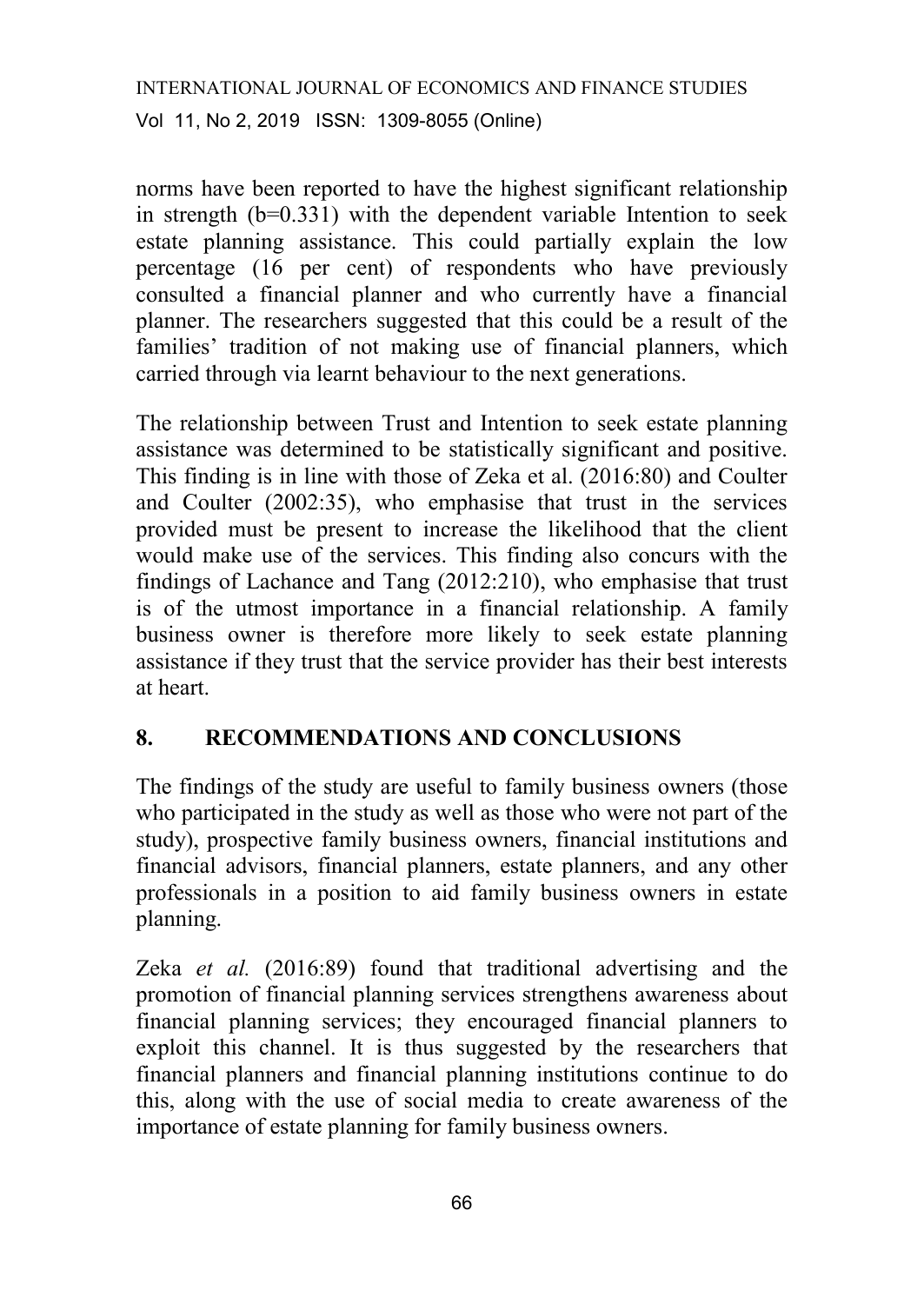norms have been reported to have the highest significant relationship in strength  $(b=0.331)$  with the dependent variable Intention to seek estate planning assistance. This could partially explain the low percentage (16 per cent) of respondents who have previously consulted a financial planner and who currently have a financial planner. The researchers suggested that this could be a result of the families' tradition of not making use of financial planners, which carried through via learnt behaviour to the next generations.

The relationship between Trust and Intention to seek estate planning assistance was determined to be statistically significant and positive. This finding is in line with those of Zeka et al. (2016:80) and Coulter and Coulter (2002:35), who emphasise that trust in the services provided must be present to increase the likelihood that the client would make use of the services. This finding also concurs with the findings of Lachance and Tang (2012:210), who emphasise that trust is of the utmost importance in a financial relationship. A family business owner is therefore more likely to seek estate planning assistance if they trust that the service provider has their best interests at heart.

# **8. RECOMMENDATIONS AND CONCLUSIONS**

The findings of the study are useful to family business owners (those who participated in the study as well as those who were not part of the study), prospective family business owners, financial institutions and financial advisors, financial planners, estate planners, and any other professionals in a position to aid family business owners in estate planning.

Zeka *et al.* (2016:89) found that traditional advertising and the promotion of financial planning services strengthens awareness about financial planning services; they encouraged financial planners to exploit this channel. It is thus suggested by the researchers that financial planners and financial planning institutions continue to do this, along with the use of social media to create awareness of the importance of estate planning for family business owners.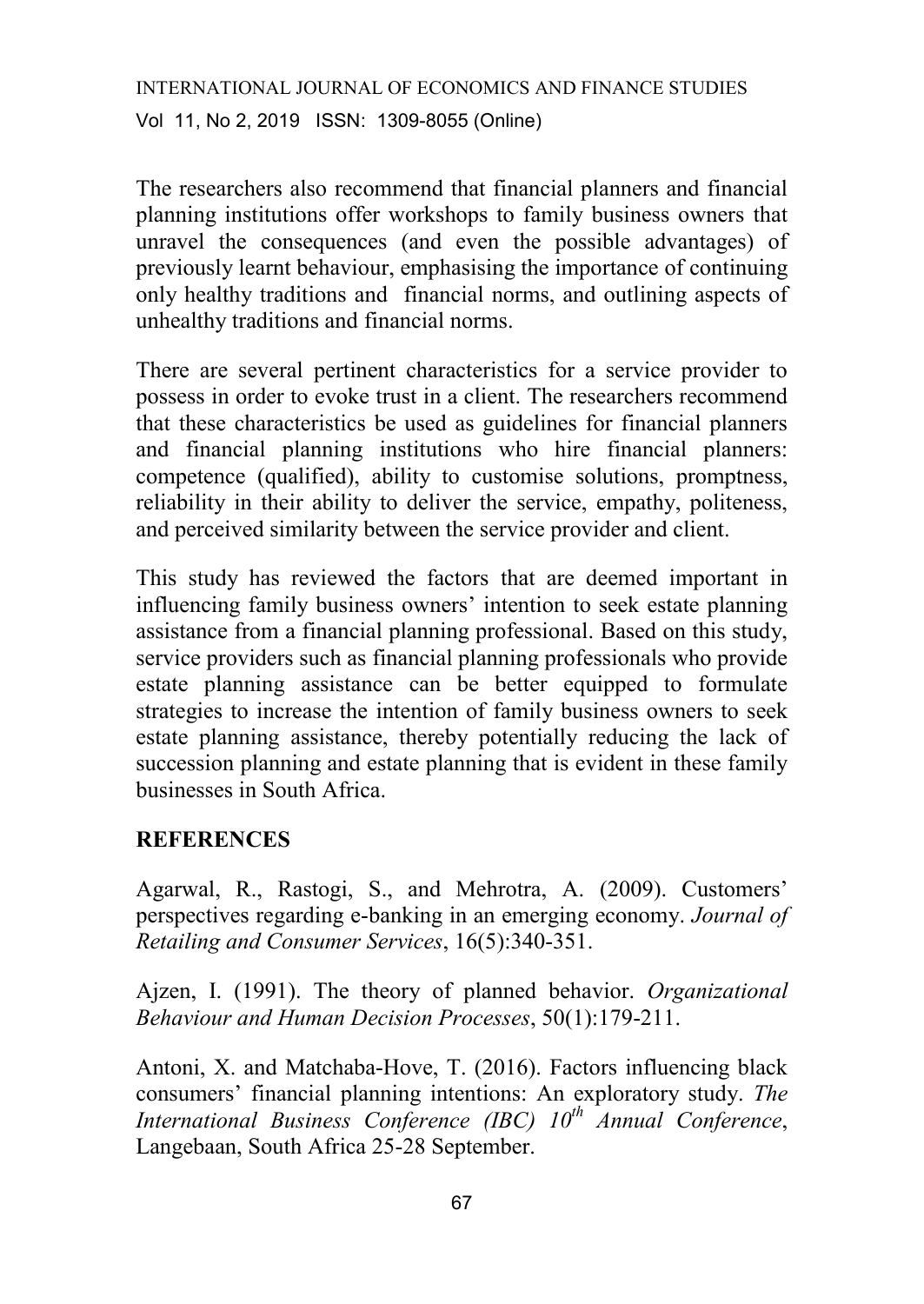The researchers also recommend that financial planners and financial planning institutions offer workshops to family business owners that unravel the consequences (and even the possible advantages) of previously learnt behaviour, emphasising the importance of continuing only healthy traditions and financial norms, and outlining aspects of unhealthy traditions and financial norms.

There are several pertinent characteristics for a service provider to possess in order to evoke trust in a client. The researchers recommend that these characteristics be used as guidelines for financial planners and financial planning institutions who hire financial planners: competence (qualified), ability to customise solutions, promptness, reliability in their ability to deliver the service, empathy, politeness, and perceived similarity between the service provider and client.

This study has reviewed the factors that are deemed important in influencing family business owners' intention to seek estate planning assistance from a financial planning professional. Based on this study, service providers such as financial planning professionals who provide estate planning assistance can be better equipped to formulate strategies to increase the intention of family business owners to seek estate planning assistance, thereby potentially reducing the lack of succession planning and estate planning that is evident in these family businesses in South Africa.

#### **REFERENCES**

Agarwal, R., Rastogi, S., and Mehrotra, A. (2009). Customers' perspectives regarding e-banking in an emerging economy. *Journal of Retailing and Consumer Services*, 16(5):340-351.

Ajzen, I. (1991). The theory of planned behavior. *Organizational Behaviour and Human Decision Processes*, 50(1):179-211.

Antoni, X. and Matchaba-Hove, T. (2016). Factors influencing black consumers' financial planning intentions: An exploratory study. *The International Business Conference (IBC) 10th Annual Conference*, Langebaan, South Africa 25-28 September.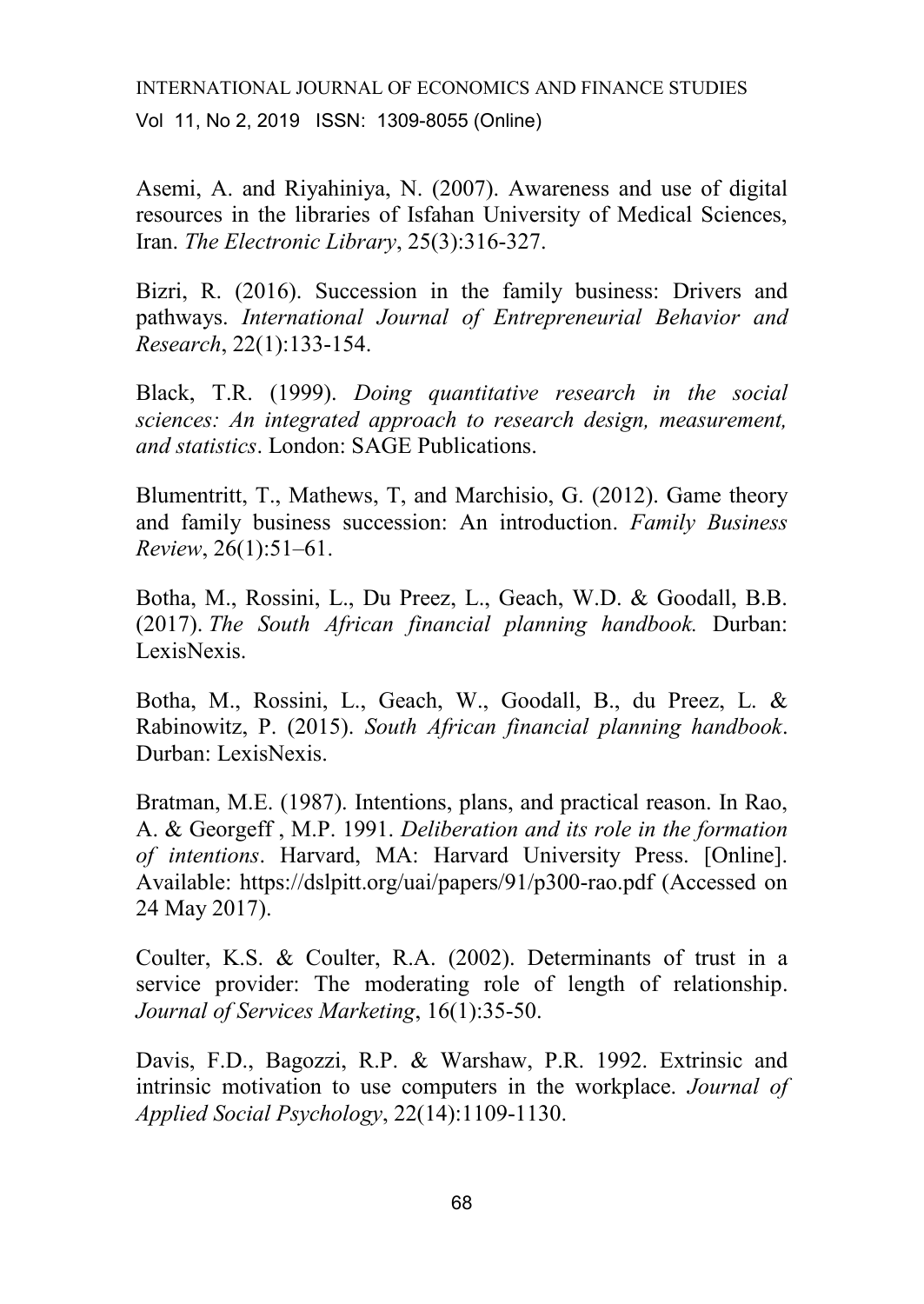Asemi, A. and Riyahiniya, N. (2007). Awareness and use of digital resources in the libraries of Isfahan University of Medical Sciences, Iran. *The Electronic Library*, 25(3):316-327.

Bizri, R. (2016). Succession in the family business: Drivers and pathways. *International Journal of Entrepreneurial Behavior and Research*, 22(1):133-154.

Black, T.R. (1999). *Doing quantitative research in the social sciences: An integrated approach to research design, measurement, and statistics*. London: SAGE Publications.

Blumentritt, T., Mathews, T, and Marchisio, G. (2012). Game theory and family business succession: An introduction. *Family Business Review*, 26(1):51–61.

Botha, M., Rossini, L., Du Preez, L., Geach, W.D. & Goodall, B.B. (2017). *The South African financial planning handbook.* Durban: LexisNexis.

Botha, M., Rossini, L., Geach, W., Goodall, B., du Preez, L. & Rabinowitz, P. (2015). *South African financial planning handbook*. Durban: LexisNexis.

Bratman, M.E. (1987). Intentions, plans, and practical reason. In Rao, A. & Georgeff , M.P. 1991. *Deliberation and its role in the formation of intentions*. Harvard, MA: Harvard University Press. [Online]. Available: https://dslpitt.org/uai/papers/91/p300-rao.pdf (Accessed on 24 May 2017).

Coulter, K.S. & Coulter, R.A. (2002). Determinants of trust in a service provider: The moderating role of length of relationship. *Journal of Services Marketing*, 16(1):35-50.

Davis, F.D., Bagozzi, R.P. & Warshaw, P.R. 1992. Extrinsic and intrinsic motivation to use computers in the workplace. *Journal of Applied Social Psychology*, 22(14):1109-1130.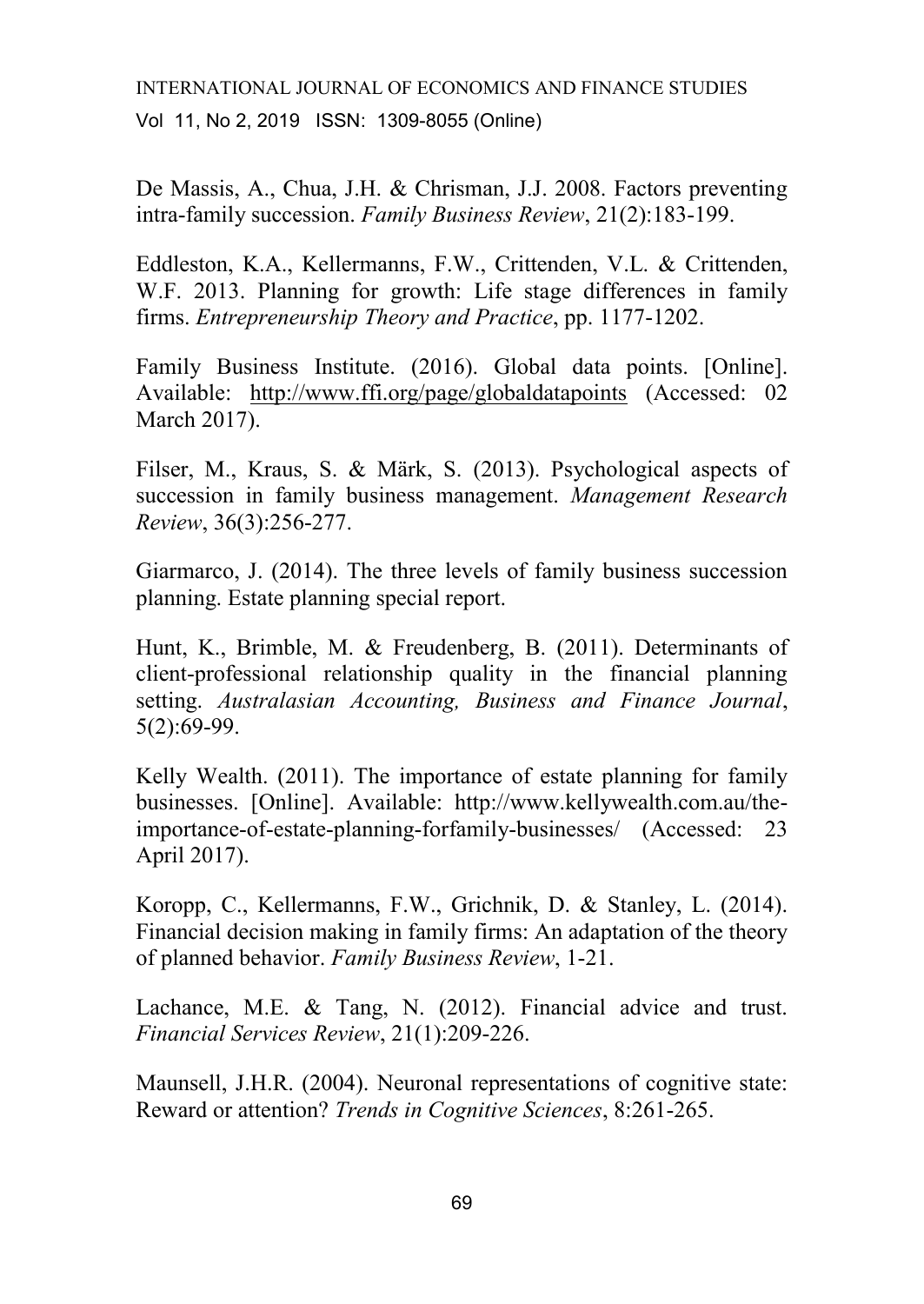De Massis, A., Chua, J.H. & Chrisman, J.J. 2008. Factors preventing intra-family succession. *Family Business Review*, 21(2):183-199.

Eddleston, K.A., Kellermanns, F.W., Crittenden, V.L. & Crittenden, W.F. 2013. Planning for growth: Life stage differences in family firms. *Entrepreneurship Theory and Practice*, pp. 1177-1202.

Family Business Institute. (2016). Global data points. [Online]. Available: <http://www.ffi.org/page/globaldatapoints> (Accessed: 02 March 2017).

Filser, M., Kraus, S. & Märk, S. (2013). Psychological aspects of succession in family business management. *Management Research Review*, 36(3):256-277.

Giarmarco, J. (2014). The three levels of family business succession planning. Estate planning special report.

Hunt, K., Brimble, M. & Freudenberg, B. (2011). Determinants of client-professional relationship quality in the financial planning setting. *Australasian Accounting, Business and Finance Journal*, 5(2):69-99.

Kelly Wealth. (2011). The importance of estate planning for family businesses. [Online]. Available: http://www.kellywealth.com.au/theimportance-of-estate-planning-forfamily-businesses/ (Accessed: 23 April 2017).

Koropp, C., Kellermanns, F.W., Grichnik, D. & Stanley, L. (2014). Financial decision making in family firms: An adaptation of the theory of planned behavior. *Family Business Review*, 1-21.

Lachance, M.E. & Tang, N. (2012). Financial advice and trust. *Financial Services Review*, 21(1):209-226.

Maunsell, J.H.R. (2004). Neuronal representations of cognitive state: Reward or attention? *Trends in Cognitive Sciences*, 8:261-265.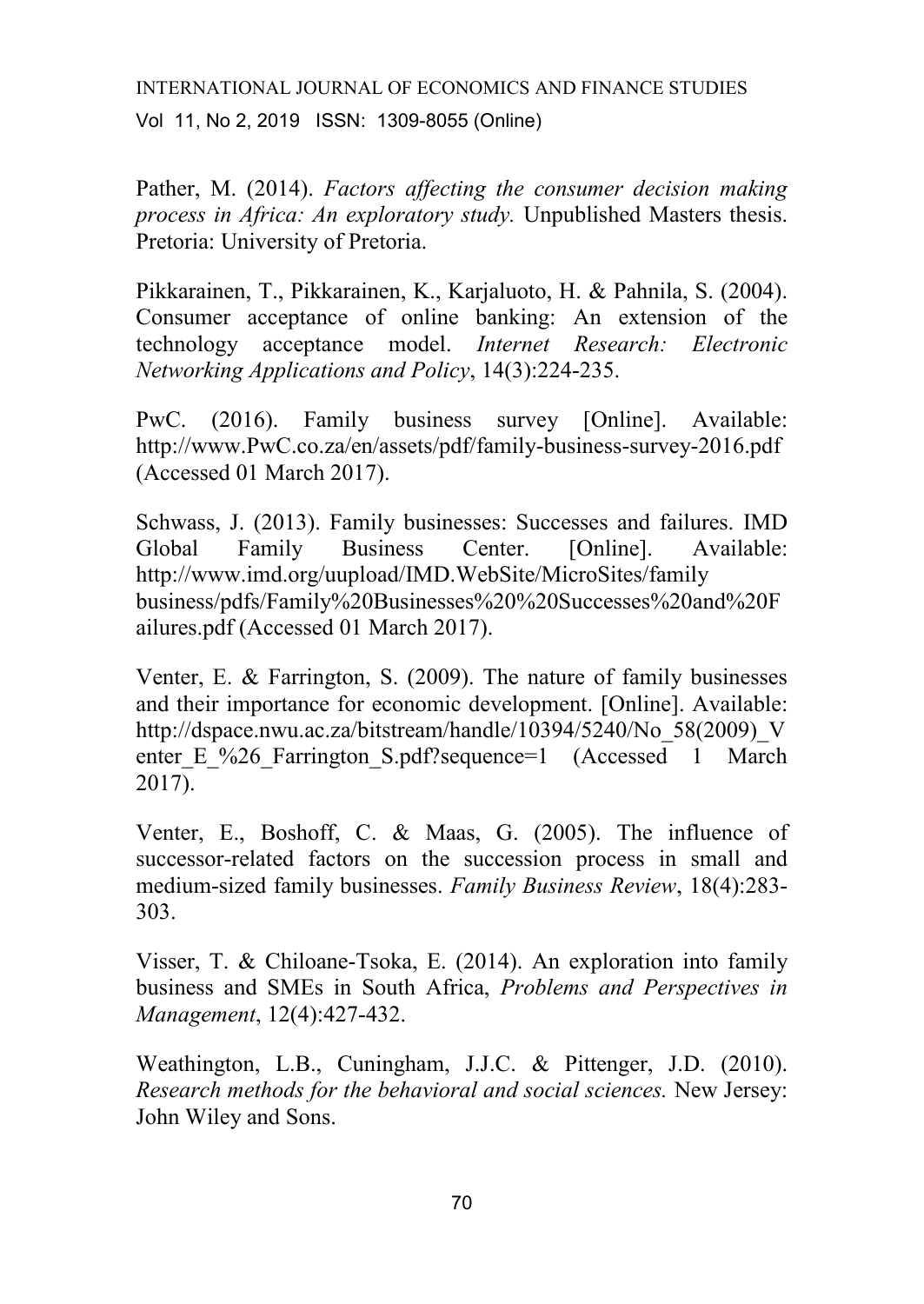Pather, M. (2014). *Factors affecting the consumer decision making process in Africa: An exploratory study.* Unpublished Masters thesis. Pretoria: University of Pretoria.

Pikkarainen, T., Pikkarainen, K., Karjaluoto, H. & Pahnila, S. (2004). Consumer acceptance of online banking: An extension of the technology acceptance model. *Internet Research: Electronic Networking Applications and Policy*, 14(3):224-235.

PwC. (2016). Family business survey [Online]. Available: http://www.PwC.co.za/en/assets/pdf/family-business-survey-2016.pdf (Accessed 01 March 2017).

Schwass, J. (2013). Family businesses: Successes and failures. IMD Global Family Business Center. [Online]. Available: http://www.imd.org/uupload/IMD.WebSite/MicroSites/family business/pdfs/Family%20Businesses%20%20Successes%20and%20F ailures.pdf (Accessed 01 March 2017).

Venter, E. & Farrington, S. (2009). The nature of family businesses and their importance for economic development. [Online]. Available: http://dspace.nwu.ac.za/bitstream/handle/10394/5240/No\_58(2009)\_V enter E %26 Farrington S.pdf?sequence=1 (Accessed 1 March 2017).

Venter, E., Boshoff, C. & Maas, G. (2005). The influence of successor-related factors on the succession process in small and medium-sized family businesses. *Family Business Review*, 18(4):283- 303.

Visser, T. & Chiloane-Tsoka, E. (2014). An exploration into family business and SMEs in South Africa, *Problems and Perspectives in Management*, 12(4):427-432.

Weathington, L.B., Cuningham, J.J.C. & Pittenger, J.D. (2010). *Research methods for the behavioral and social sciences.* New Jersey: John Wiley and Sons.